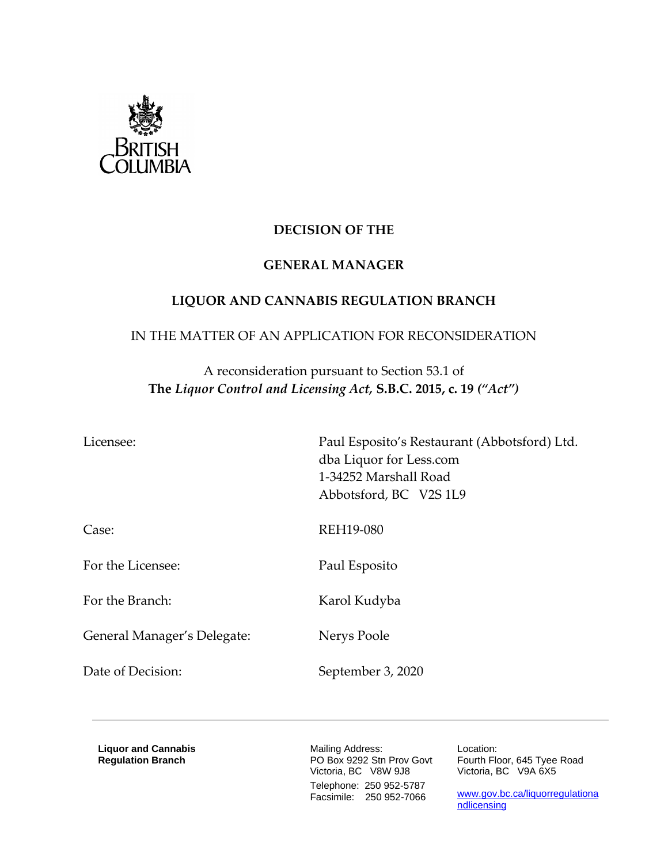

# **DECISION OF THE**

## **GENERAL MANAGER**

## **LIQUOR AND CANNABIS REGULATION BRANCH**

## IN THE MATTER OF AN APPLICATION FOR RECONSIDERATION

# A reconsideration pursuant to Section 53.1 of **The** *Liquor Control and Licensing Act,* **S.B.C. 2015, c. 19** *("Act")*

Licensee: Paul Esposito's Restaurant (Abbotsford) Ltd. dba Liquor for Less.com 1-34252 Marshall Road Abbotsford, BC V2S 1L9

For the Licensee: Paul Esposito

For the Branch: Karol Kudyba

General Manager's Delegate: Nerys Poole

Case: REH19-080

Date of Decision: September 3, 2020

**Liquor and Cannabis Regulation Branch**

Mailing Address: PO Box 9292 Stn Prov Govt Victoria, BC V8W 9J8 Telephone: 250 952-5787 Facsimile: 250 952-7066

Location: Fourth Floor, 645 Tyee Road Victoria, BC V9A 6X5

[www.gov.bc.ca/liquorregulationa](http://www.gov.bc.ca/liquorregulationandlicensing) [ndlicensing](http://www.gov.bc.ca/liquorregulationandlicensing)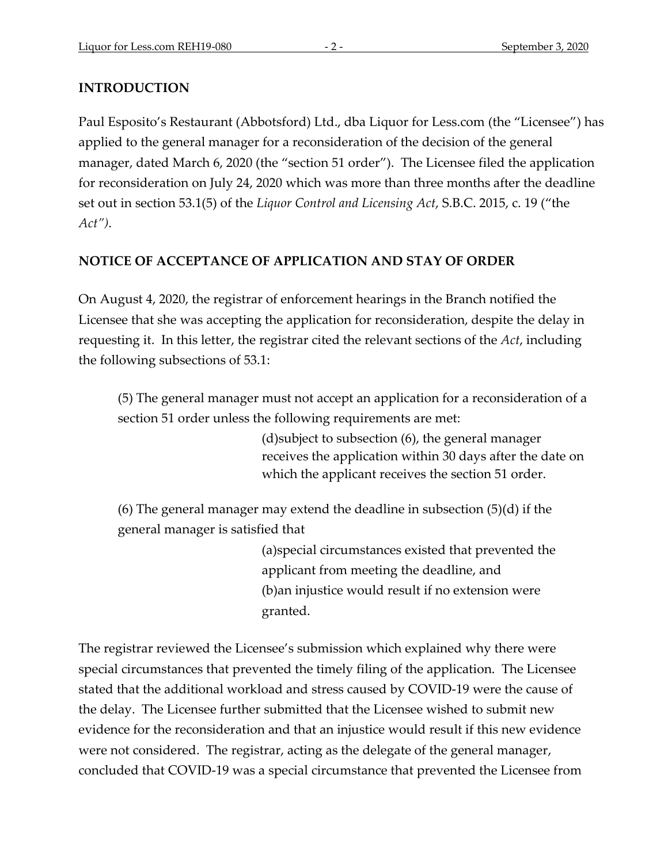### **INTRODUCTION**

Paul Esposito's Restaurant (Abbotsford) Ltd., dba Liquor for Less.com (the "Licensee") has applied to the general manager for a reconsideration of the decision of the general manager, dated March 6, 2020 (the "section 51 order"). The Licensee filed the application for reconsideration on July 24, 2020 which was more than three months after the deadline set out in section 53.1(5) of the *Liquor Control and Licensing Act*, S.B.C. 2015, c. 19 ("the *Act")*.

# **NOTICE OF ACCEPTANCE OF APPLICATION AND STAY OF ORDER**

On August 4, 2020, the registrar of enforcement hearings in the Branch notified the Licensee that she was accepting the application for reconsideration, despite the delay in requesting it. In this letter, the registrar cited the relevant sections of the *Act*, including the following subsections of 53.1:

(5) The general manager must not accept an application for a reconsideration of a section 51 order unless the following requirements are met:

> (d)subject to subsection (6), the general manager receives the application within 30 days after the date on which the applicant receives the section 51 order.

(6) The general manager may extend the deadline in subsection (5)(d) if the general manager is satisfied that

> (a)special circumstances existed that prevented the applicant from meeting the deadline, and (b)an injustice would result if no extension were granted.

The registrar reviewed the Licensee's submission which explained why there were special circumstances that prevented the timely filing of the application. The Licensee stated that the additional workload and stress caused by COVID-19 were the cause of the delay. The Licensee further submitted that the Licensee wished to submit new evidence for the reconsideration and that an injustice would result if this new evidence were not considered. The registrar, acting as the delegate of the general manager, concluded that COVID-19 was a special circumstance that prevented the Licensee from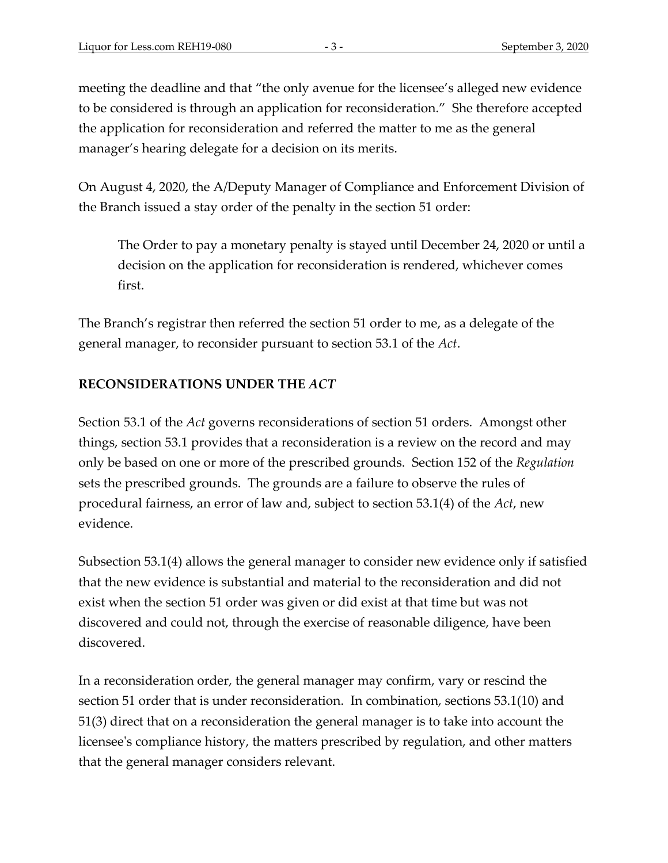meeting the deadline and that "the only avenue for the licensee's alleged new evidence to be considered is through an application for reconsideration." She therefore accepted the application for reconsideration and referred the matter to me as the general manager's hearing delegate for a decision on its merits.

On August 4, 2020, the A/Deputy Manager of Compliance and Enforcement Division of the Branch issued a stay order of the penalty in the section 51 order:

The Order to pay a monetary penalty is stayed until December 24, 2020 or until a decision on the application for reconsideration is rendered, whichever comes first.

The Branch's registrar then referred the section 51 order to me, as a delegate of the general manager, to reconsider pursuant to section 53.1 of the *Act*.

# **RECONSIDERATIONS UNDER THE** *ACT*

Section 53.1 of the *Act* governs reconsiderations of section 51 orders. Amongst other things, section 53.1 provides that a reconsideration is a review on the record and may only be based on one or more of the prescribed grounds. Section 152 of the *Regulation*  sets the prescribed grounds. The grounds are a failure to observe the rules of procedural fairness, an error of law and, subject to section 53.1(4) of the *Act*, new evidence.

Subsection 53.1(4) allows the general manager to consider new evidence only if satisfied that the new evidence is substantial and material to the reconsideration and did not exist when the section 51 order was given or did exist at that time but was not discovered and could not, through the exercise of reasonable diligence, have been discovered.

In a reconsideration order, the general manager may confirm, vary or rescind the section 51 order that is under reconsideration. In combination, sections 53.1(10) and 51(3) direct that on a reconsideration the general manager is to take into account the licensee's compliance history, the matters prescribed by regulation, and other matters that the general manager considers relevant.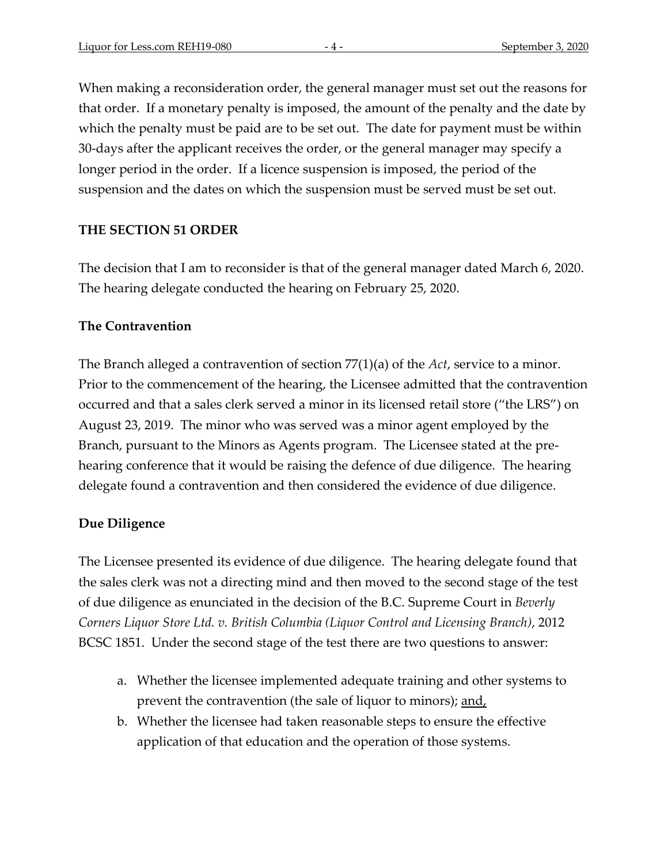When making a reconsideration order, the general manager must set out the reasons for that order. If a monetary penalty is imposed, the amount of the penalty and the date by which the penalty must be paid are to be set out. The date for payment must be within 30-days after the applicant receives the order, or the general manager may specify a longer period in the order. If a licence suspension is imposed, the period of the suspension and the dates on which the suspension must be served must be set out.

### **THE SECTION 51 ORDER**

The decision that I am to reconsider is that of the general manager dated March 6, 2020. The hearing delegate conducted the hearing on February 25, 2020.

## **The Contravention**

The Branch alleged a contravention of section 77(1)(a) of the *Act*, service to a minor. Prior to the commencement of the hearing, the Licensee admitted that the contravention occurred and that a sales clerk served a minor in its licensed retail store ("the LRS") on August 23, 2019. The minor who was served was a minor agent employed by the Branch, pursuant to the Minors as Agents program. The Licensee stated at the prehearing conference that it would be raising the defence of due diligence. The hearing delegate found a contravention and then considered the evidence of due diligence.

### **Due Diligence**

The Licensee presented its evidence of due diligence. The hearing delegate found that the sales clerk was not a directing mind and then moved to the second stage of the test of due diligence as enunciated in the decision of the B.C. Supreme Court in *Beverly Corners Liquor Store Ltd. v. British Columbia (Liquor Control and Licensing Branch)*, 2012 BCSC 1851. Under the second stage of the test there are two questions to answer:

- a. Whether the licensee implemented adequate training and other systems to prevent the contravention (the sale of liquor to minors); <u>and</u>,
- b. Whether the licensee had taken reasonable steps to ensure the effective application of that education and the operation of those systems.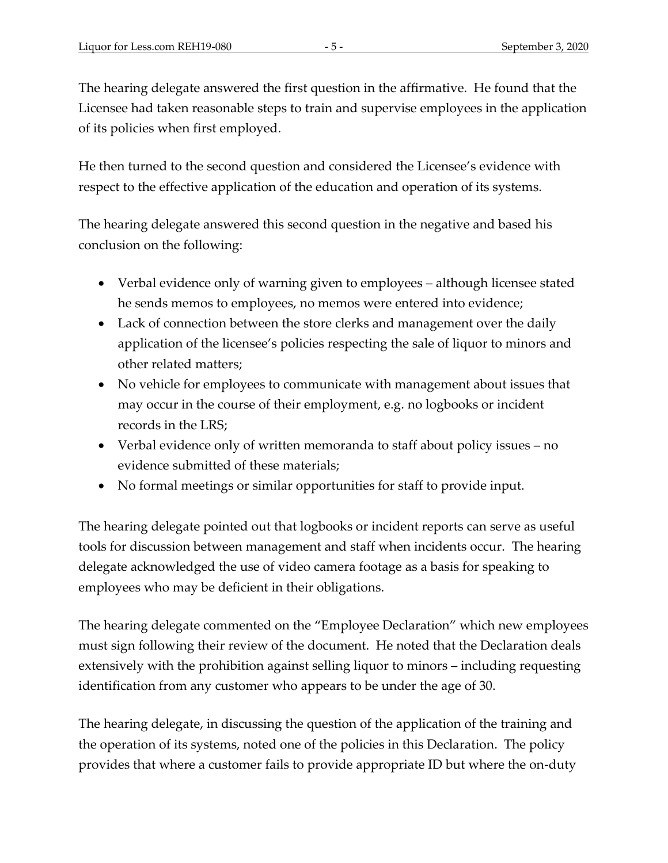The hearing delegate answered the first question in the affirmative. He found that the Licensee had taken reasonable steps to train and supervise employees in the application of its policies when first employed.

He then turned to the second question and considered the Licensee's evidence with respect to the effective application of the education and operation of its systems.

The hearing delegate answered this second question in the negative and based his conclusion on the following:

- Verbal evidence only of warning given to employees although licensee stated he sends memos to employees, no memos were entered into evidence;
- Lack of connection between the store clerks and management over the daily application of the licensee's policies respecting the sale of liquor to minors and other related matters;
- No vehicle for employees to communicate with management about issues that may occur in the course of their employment, e.g. no logbooks or incident records in the LRS;
- Verbal evidence only of written memoranda to staff about policy issues no evidence submitted of these materials;
- No formal meetings or similar opportunities for staff to provide input.

The hearing delegate pointed out that logbooks or incident reports can serve as useful tools for discussion between management and staff when incidents occur. The hearing delegate acknowledged the use of video camera footage as a basis for speaking to employees who may be deficient in their obligations.

The hearing delegate commented on the "Employee Declaration" which new employees must sign following their review of the document. He noted that the Declaration deals extensively with the prohibition against selling liquor to minors – including requesting identification from any customer who appears to be under the age of 30.

The hearing delegate, in discussing the question of the application of the training and the operation of its systems, noted one of the policies in this Declaration. The policy provides that where a customer fails to provide appropriate ID but where the on-duty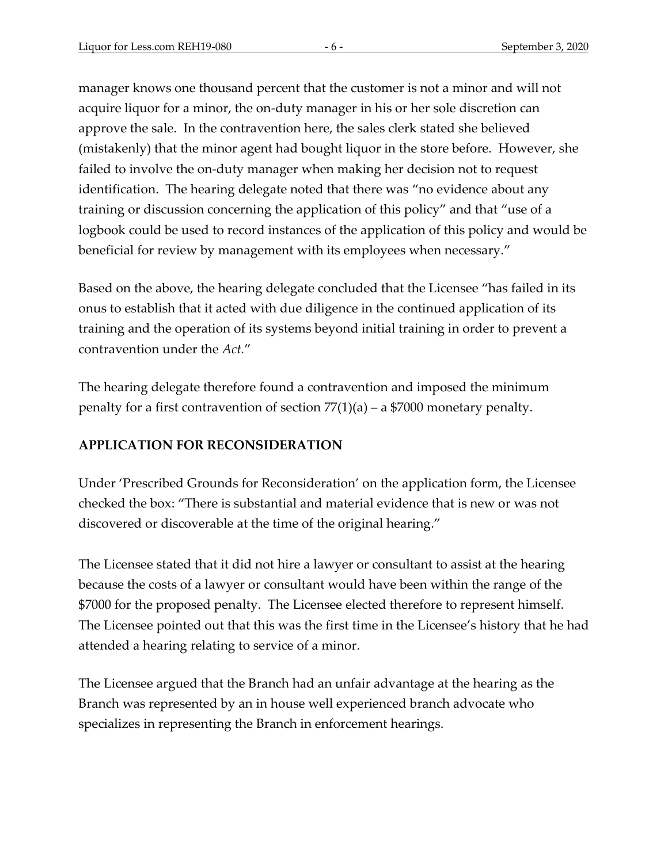manager knows one thousand percent that the customer is not a minor and will not acquire liquor for a minor, the on-duty manager in his or her sole discretion can approve the sale. In the contravention here, the sales clerk stated she believed (mistakenly) that the minor agent had bought liquor in the store before. However, she failed to involve the on-duty manager when making her decision not to request identification. The hearing delegate noted that there was "no evidence about any training or discussion concerning the application of this policy" and that "use of a logbook could be used to record instances of the application of this policy and would be beneficial for review by management with its employees when necessary."

Based on the above, the hearing delegate concluded that the Licensee "has failed in its onus to establish that it acted with due diligence in the continued application of its training and the operation of its systems beyond initial training in order to prevent a contravention under the *Act.*"

The hearing delegate therefore found a contravention and imposed the minimum penalty for a first contravention of section 77(1)(a) – a \$7000 monetary penalty.

### **APPLICATION FOR RECONSIDERATION**

Under 'Prescribed Grounds for Reconsideration' on the application form, the Licensee checked the box: "There is substantial and material evidence that is new or was not discovered or discoverable at the time of the original hearing."

The Licensee stated that it did not hire a lawyer or consultant to assist at the hearing because the costs of a lawyer or consultant would have been within the range of the \$7000 for the proposed penalty. The Licensee elected therefore to represent himself. The Licensee pointed out that this was the first time in the Licensee's history that he had attended a hearing relating to service of a minor.

The Licensee argued that the Branch had an unfair advantage at the hearing as the Branch was represented by an in house well experienced branch advocate who specializes in representing the Branch in enforcement hearings.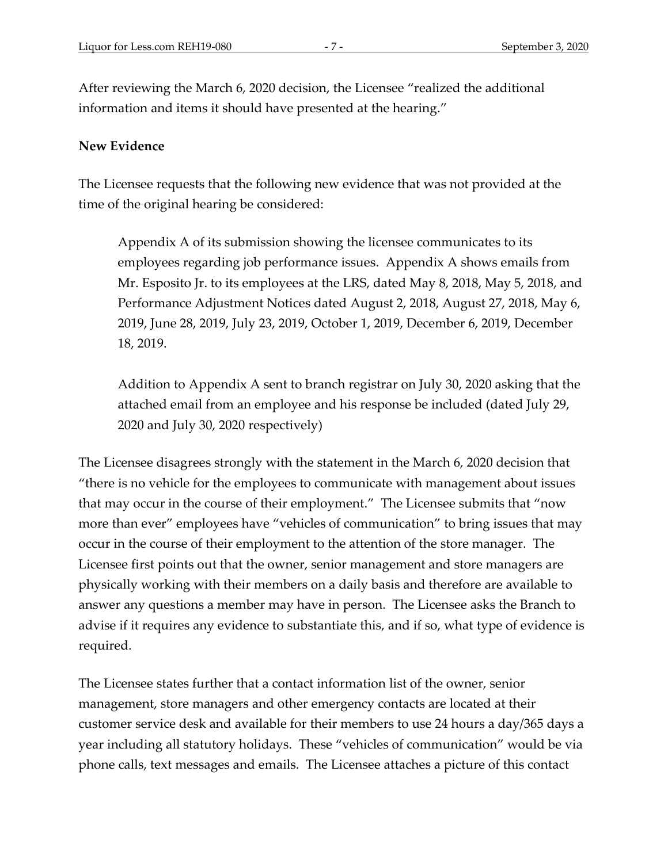After reviewing the March 6, 2020 decision, the Licensee "realized the additional information and items it should have presented at the hearing."

#### **New Evidence**

The Licensee requests that the following new evidence that was not provided at the time of the original hearing be considered:

Appendix A of its submission showing the licensee communicates to its employees regarding job performance issues. Appendix A shows emails from Mr. Esposito Jr. to its employees at the LRS, dated May 8, 2018, May 5, 2018, and Performance Adjustment Notices dated August 2, 2018, August 27, 2018, May 6, 2019, June 28, 2019, July 23, 2019, October 1, 2019, December 6, 2019, December 18, 2019.

Addition to Appendix A sent to branch registrar on July 30, 2020 asking that the attached email from an employee and his response be included (dated July 29, 2020 and July 30, 2020 respectively)

The Licensee disagrees strongly with the statement in the March 6, 2020 decision that "there is no vehicle for the employees to communicate with management about issues that may occur in the course of their employment." The Licensee submits that "now more than ever" employees have "vehicles of communication" to bring issues that may occur in the course of their employment to the attention of the store manager. The Licensee first points out that the owner, senior management and store managers are physically working with their members on a daily basis and therefore are available to answer any questions a member may have in person. The Licensee asks the Branch to advise if it requires any evidence to substantiate this, and if so, what type of evidence is required.

The Licensee states further that a contact information list of the owner, senior management, store managers and other emergency contacts are located at their customer service desk and available for their members to use 24 hours a day/365 days a year including all statutory holidays. These "vehicles of communication" would be via phone calls, text messages and emails. The Licensee attaches a picture of this contact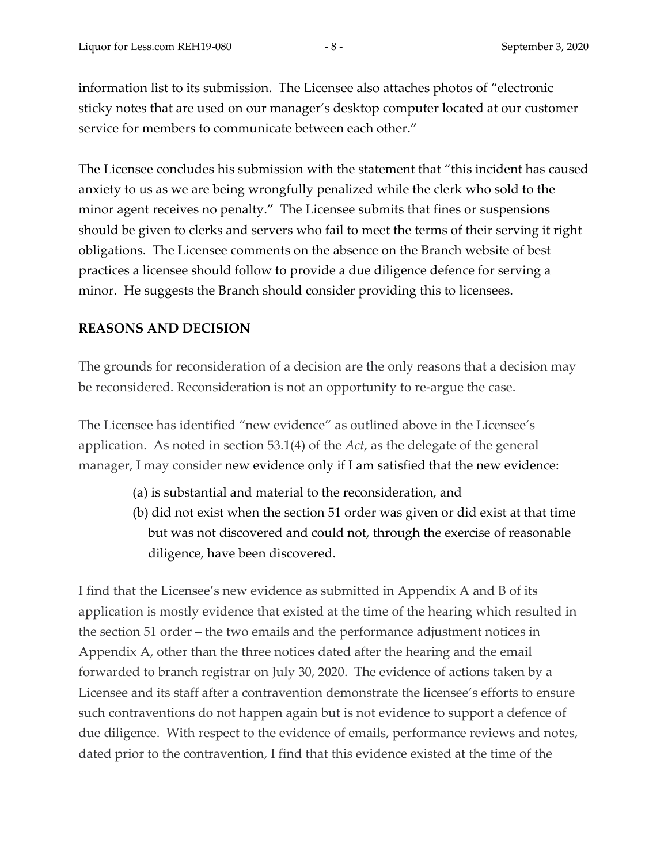information list to its submission. The Licensee also attaches photos of "electronic sticky notes that are used on our manager's desktop computer located at our customer service for members to communicate between each other."

The Licensee concludes his submission with the statement that "this incident has caused anxiety to us as we are being wrongfully penalized while the clerk who sold to the minor agent receives no penalty." The Licensee submits that fines or suspensions should be given to clerks and servers who fail to meet the terms of their serving it right obligations. The Licensee comments on the absence on the Branch website of best practices a licensee should follow to provide a due diligence defence for serving a minor. He suggests the Branch should consider providing this to licensees.

### **REASONS AND DECISION**

The grounds for reconsideration of a decision are the only reasons that a decision may be reconsidered. Reconsideration is not an opportunity to re-argue the case.

The Licensee has identified "new evidence" as outlined above in the Licensee's application. As noted in section 53.1(4) of the *Act*, as the delegate of the general manager, I may consider new evidence only if I am satisfied that the new evidence:

- (a) is substantial and material to the reconsideration, and
- (b) did not exist when the section 51 order was given or did exist at that time but was not discovered and could not, through the exercise of reasonable diligence, have been discovered.

I find that the Licensee's new evidence as submitted in Appendix A and B of its application is mostly evidence that existed at the time of the hearing which resulted in the section 51 order – the two emails and the performance adjustment notices in Appendix A, other than the three notices dated after the hearing and the email forwarded to branch registrar on July 30, 2020. The evidence of actions taken by a Licensee and its staff after a contravention demonstrate the licensee's efforts to ensure such contraventions do not happen again but is not evidence to support a defence of due diligence. With respect to the evidence of emails, performance reviews and notes, dated prior to the contravention, I find that this evidence existed at the time of the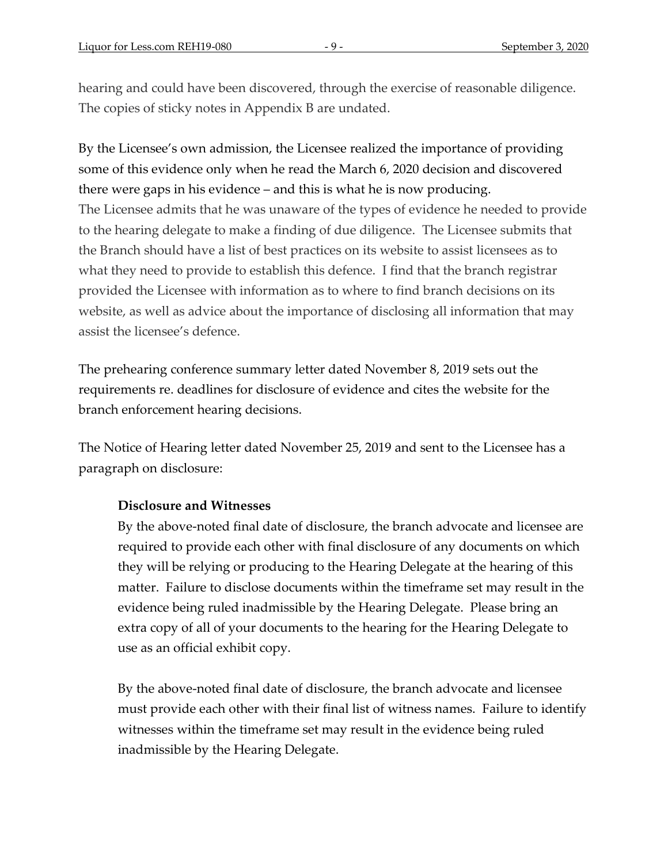hearing and could have been discovered, through the exercise of reasonable diligence. The copies of sticky notes in Appendix B are undated.

By the Licensee's own admission, the Licensee realized the importance of providing some of this evidence only when he read the March 6, 2020 decision and discovered there were gaps in his evidence – and this is what he is now producing. The Licensee admits that he was unaware of the types of evidence he needed to provide to the hearing delegate to make a finding of due diligence. The Licensee submits that the Branch should have a list of best practices on its website to assist licensees as to what they need to provide to establish this defence. I find that the branch registrar provided the Licensee with information as to where to find branch decisions on its website, as well as advice about the importance of disclosing all information that may assist the licensee's defence.

The prehearing conference summary letter dated November 8, 2019 sets out the requirements re. deadlines for disclosure of evidence and cites the website for the branch enforcement hearing decisions.

The Notice of Hearing letter dated November 25, 2019 and sent to the Licensee has a paragraph on disclosure:

### **Disclosure and Witnesses**

By the above-noted final date of disclosure, the branch advocate and licensee are required to provide each other with final disclosure of any documents on which they will be relying or producing to the Hearing Delegate at the hearing of this matter. Failure to disclose documents within the timeframe set may result in the evidence being ruled inadmissible by the Hearing Delegate. Please bring an extra copy of all of your documents to the hearing for the Hearing Delegate to use as an official exhibit copy.

By the above-noted final date of disclosure, the branch advocate and licensee must provide each other with their final list of witness names. Failure to identify witnesses within the timeframe set may result in the evidence being ruled inadmissible by the Hearing Delegate.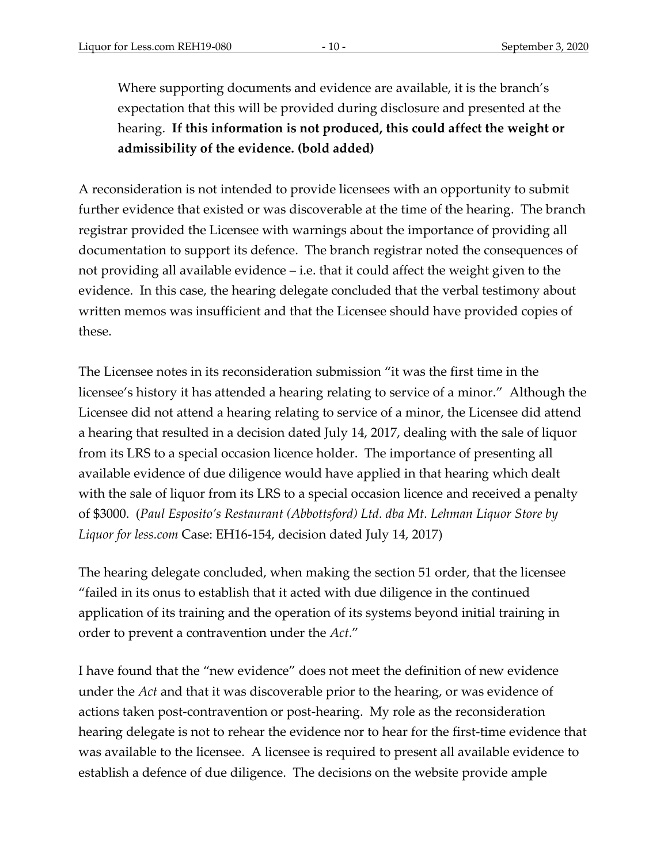Where supporting documents and evidence are available, it is the branch's expectation that this will be provided during disclosure and presented at the hearing. **If this information is not produced, this could affect the weight or admissibility of the evidence. (bold added)**

A reconsideration is not intended to provide licensees with an opportunity to submit further evidence that existed or was discoverable at the time of the hearing. The branch registrar provided the Licensee with warnings about the importance of providing all documentation to support its defence. The branch registrar noted the consequences of not providing all available evidence – i.e. that it could affect the weight given to the evidence. In this case, the hearing delegate concluded that the verbal testimony about written memos was insufficient and that the Licensee should have provided copies of these.

The Licensee notes in its reconsideration submission "it was the first time in the licensee's history it has attended a hearing relating to service of a minor." Although the Licensee did not attend a hearing relating to service of a minor, the Licensee did attend a hearing that resulted in a decision dated July 14, 2017, dealing with the sale of liquor from its LRS to a special occasion licence holder. The importance of presenting all available evidence of due diligence would have applied in that hearing which dealt with the sale of liquor from its LRS to a special occasion licence and received a penalty of \$3000. (*Paul Esposito's Restaurant (Abbottsford) Ltd. dba Mt. Lehman Liquor Store by Liquor for less.com* Case: EH16-154, decision dated July 14, 2017)

The hearing delegate concluded, when making the section 51 order, that the licensee "failed in its onus to establish that it acted with due diligence in the continued application of its training and the operation of its systems beyond initial training in order to prevent a contravention under the *Act*."

I have found that the "new evidence" does not meet the definition of new evidence under the *Act* and that it was discoverable prior to the hearing, or was evidence of actions taken post-contravention or post-hearing. My role as the reconsideration hearing delegate is not to rehear the evidence nor to hear for the first-time evidence that was available to the licensee. A licensee is required to present all available evidence to establish a defence of due diligence. The decisions on the website provide ample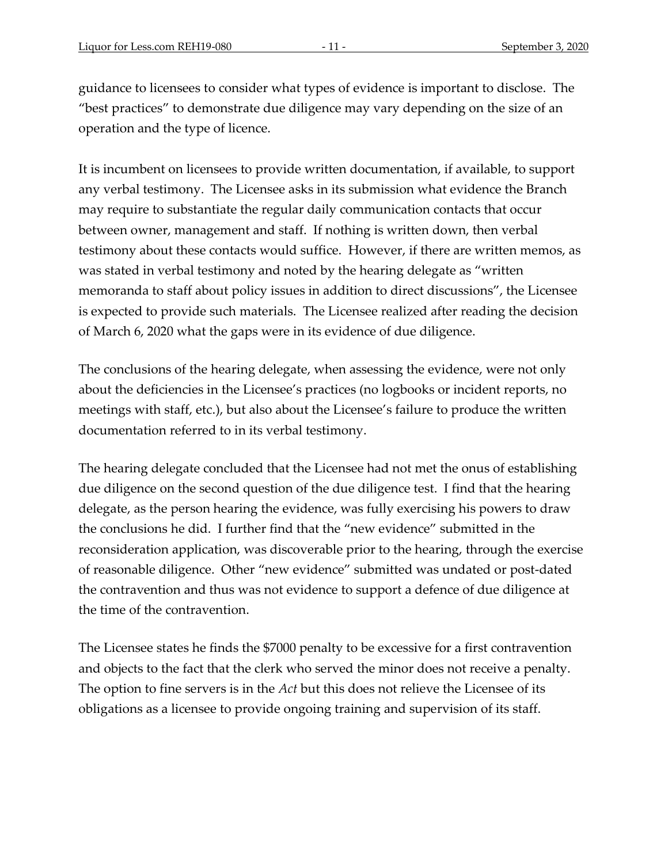guidance to licensees to consider what types of evidence is important to disclose. The "best practices" to demonstrate due diligence may vary depending on the size of an operation and the type of licence.

It is incumbent on licensees to provide written documentation, if available, to support any verbal testimony. The Licensee asks in its submission what evidence the Branch may require to substantiate the regular daily communication contacts that occur between owner, management and staff. If nothing is written down, then verbal testimony about these contacts would suffice. However, if there are written memos, as was stated in verbal testimony and noted by the hearing delegate as "written memoranda to staff about policy issues in addition to direct discussions", the Licensee is expected to provide such materials. The Licensee realized after reading the decision of March 6, 2020 what the gaps were in its evidence of due diligence.

The conclusions of the hearing delegate, when assessing the evidence, were not only about the deficiencies in the Licensee's practices (no logbooks or incident reports, no meetings with staff, etc.), but also about the Licensee's failure to produce the written documentation referred to in its verbal testimony.

The hearing delegate concluded that the Licensee had not met the onus of establishing due diligence on the second question of the due diligence test. I find that the hearing delegate, as the person hearing the evidence, was fully exercising his powers to draw the conclusions he did. I further find that the "new evidence" submitted in the reconsideration application, was discoverable prior to the hearing, through the exercise of reasonable diligence. Other "new evidence" submitted was undated or post-dated the contravention and thus was not evidence to support a defence of due diligence at the time of the contravention.

The Licensee states he finds the \$7000 penalty to be excessive for a first contravention and objects to the fact that the clerk who served the minor does not receive a penalty. The option to fine servers is in the *Act* but this does not relieve the Licensee of its obligations as a licensee to provide ongoing training and supervision of its staff.